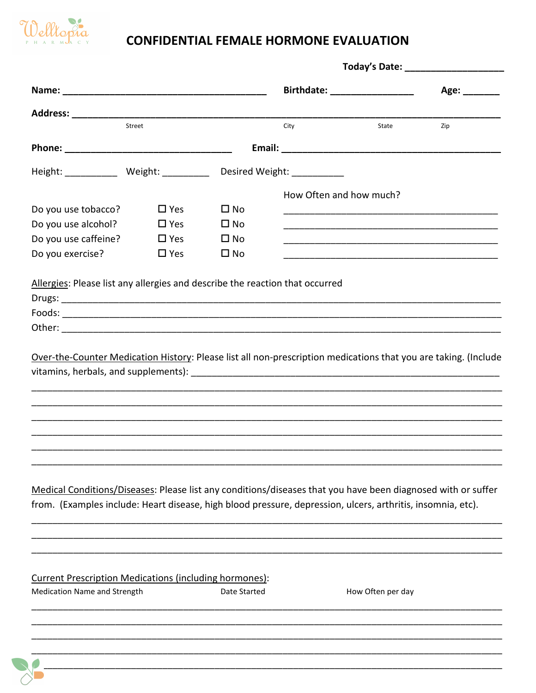

## **CONFIDENTIAL FEMALE HORMONE EVALUATION**

|                                                                                                                                                                                                                             |               |              | Birthdate: __________________ |                   | Age: ________ |  |
|-----------------------------------------------------------------------------------------------------------------------------------------------------------------------------------------------------------------------------|---------------|--------------|-------------------------------|-------------------|---------------|--|
|                                                                                                                                                                                                                             |               |              |                               |                   |               |  |
|                                                                                                                                                                                                                             | Street        |              | City                          | State             | Zip           |  |
|                                                                                                                                                                                                                             |               |              |                               |                   |               |  |
| Height: ______________ Weight: ____________ Desired Weight: _____________                                                                                                                                                   |               |              |                               |                   |               |  |
|                                                                                                                                                                                                                             |               |              | How Often and how much?       |                   |               |  |
| Do you use tobacco?                                                                                                                                                                                                         | $\Box$ Yes    | $\Box$ No    |                               |                   |               |  |
| Do you use alcohol?                                                                                                                                                                                                         | $\square$ Yes | $\square$ No |                               |                   |               |  |
| Do you use caffeine?                                                                                                                                                                                                        | $\Box$ Yes    | $\square$ No |                               |                   |               |  |
| Do you exercise?                                                                                                                                                                                                            | $\Box$ Yes    | $\square$ No |                               |                   |               |  |
| Allergies: Please list any allergies and describe the reaction that occurred<br>Over-the-Counter Medication History: Please list all non-prescription medications that you are taking. (Include                             |               |              |                               |                   |               |  |
| Medical Conditions/Diseases: Please list any conditions/diseases that you have been diagnosed with or suffer<br>from. (Examples include: Heart disease, high blood pressure, depression, ulcers, arthritis, insomnia, etc). |               |              |                               |                   |               |  |
| <b>Current Prescription Medications (including hormones):</b><br>Medication Name and Strength                                                                                                                               |               | Date Started |                               | How Often per day |               |  |
|                                                                                                                                                                                                                             |               |              |                               |                   |               |  |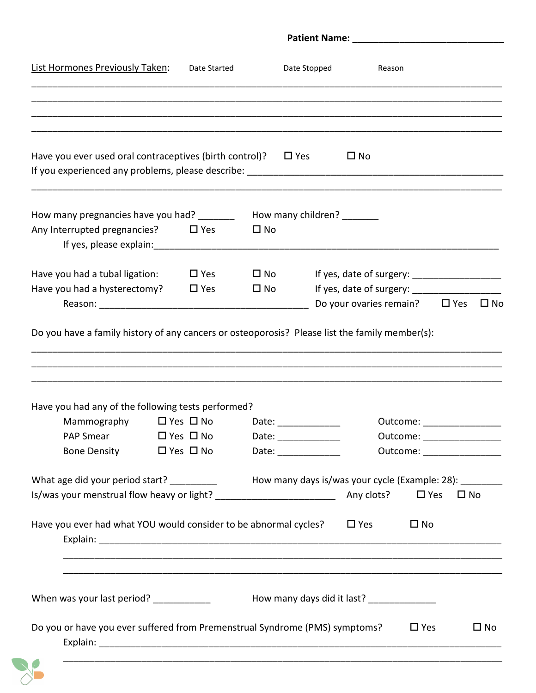| List Hormones Previously Taken:                                                                                                                      | Date Started               |                                                                                                                       | Date Stopped | Reason                                                   |                            |              |
|------------------------------------------------------------------------------------------------------------------------------------------------------|----------------------------|-----------------------------------------------------------------------------------------------------------------------|--------------|----------------------------------------------------------|----------------------------|--------------|
|                                                                                                                                                      |                            |                                                                                                                       |              |                                                          |                            |              |
| Have you ever used oral contraceptives (birth control)? $\Box$ Yes                                                                                   |                            |                                                                                                                       |              | $\square$ No                                             |                            |              |
| How many pregnancies have you had? _________ How many children? _______                                                                              |                            |                                                                                                                       |              |                                                          |                            |              |
| Any Interrupted pregnancies? $\Box$ Yes                                                                                                              |                            | $\square$ No                                                                                                          |              |                                                          |                            |              |
| Have you had a tubal ligation:                                                                                                                       | $\square$ Yes              | $\square$ No                                                                                                          |              |                                                          |                            |              |
| Have you had a hysterectomy? $\Box$ Yes                                                                                                              |                            | $\Box$ No                                                                                                             |              |                                                          |                            |              |
|                                                                                                                                                      |                            |                                                                                                                       |              | Do your ovaries remain? $\Box$ Yes                       |                            | $\square$ No |
|                                                                                                                                                      |                            | <u> 1989 - Jan James James James James James James James James James James James James James James James James J</u>  |              |                                                          |                            |              |
| Do you have a family history of any cancers or osteoporosis? Please list the family member(s):<br>Have you had any of the following tests performed? |                            |                                                                                                                       |              |                                                          |                            |              |
| Mammography                                                                                                                                          | $\Box$ Yes $\Box$ No       | Date:                                                                                                                 |              |                                                          | Outcome:                   |              |
| PAP Smear                                                                                                                                            | $\square$ Yes $\square$ No | Date: ______________                                                                                                  |              |                                                          | Outcome: _________________ |              |
| Bone Density $\Box$ Yes $\Box$ No                                                                                                                    |                            | Date: ______________                                                                                                  |              |                                                          | Outcome: _________________ |              |
| What age did your period start?                                                                                                                      |                            |                                                                                                                       |              | How many days is/was your cycle (Example: 28): _________ |                            |              |
|                                                                                                                                                      |                            |                                                                                                                       |              | Any clots?                                               | $\square$ Yes              | $\square$ No |
| Have you ever had what YOU would consider to be abnormal cycles?                                                                                     |                            | <u> 1980 - Johann Stoff, deutscher Stoff, der Stoff, der Stoff, der Stoff, der Stoff, der Stoff, der Stoff, der S</u> |              | $\square$ Yes                                            | $\square$ No               |              |
| When was your last period? ___________                                                                                                               |                            |                                                                                                                       |              | How many days did it last? ______________                |                            |              |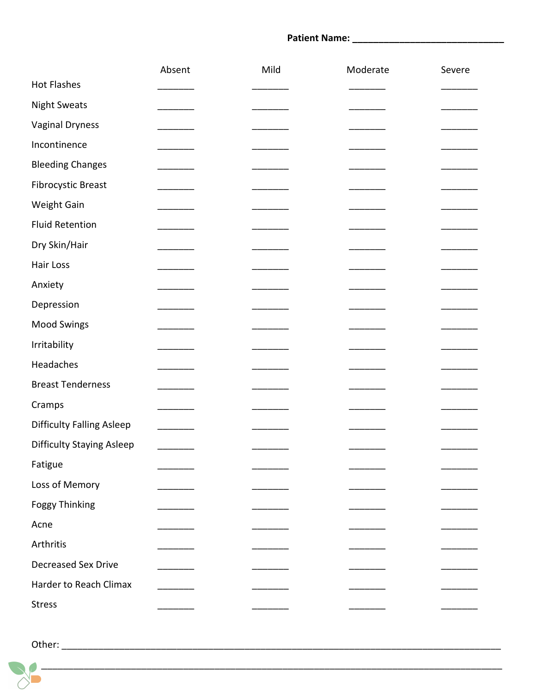## 

|                                  | Absent                                                        | Mild | Moderate | Severe |
|----------------------------------|---------------------------------------------------------------|------|----------|--------|
| <b>Hot Flashes</b>               |                                                               |      |          |        |
| <b>Night Sweats</b>              |                                                               |      |          |        |
| <b>Vaginal Dryness</b>           |                                                               |      |          |        |
| Incontinence                     |                                                               |      |          |        |
| <b>Bleeding Changes</b>          |                                                               |      |          |        |
| <b>Fibrocystic Breast</b>        |                                                               |      |          |        |
| Weight Gain                      |                                                               |      |          |        |
| <b>Fluid Retention</b>           |                                                               |      |          |        |
| Dry Skin/Hair                    |                                                               |      |          |        |
| Hair Loss                        |                                                               |      |          |        |
| Anxiety                          |                                                               |      |          |        |
| Depression                       |                                                               |      |          |        |
| Mood Swings                      |                                                               |      |          |        |
| Irritability                     |                                                               |      |          |        |
| Headaches                        | _______                                                       |      |          |        |
| <b>Breast Tenderness</b>         |                                                               |      |          |        |
| Cramps                           |                                                               |      |          |        |
| <b>Difficulty Falling Asleep</b> | $\mathcal{L}$ . The contract of the contract of $\mathcal{L}$ |      |          |        |
| <b>Difficulty Staying Asleep</b> |                                                               |      |          |        |
| Fatigue                          |                                                               |      |          |        |
| Loss of Memory                   |                                                               |      |          |        |
| <b>Foggy Thinking</b>            |                                                               |      |          |        |
| Acne                             |                                                               |      |          |        |
| Arthritis                        |                                                               |      |          |        |
| <b>Decreased Sex Drive</b>       |                                                               |      |          |        |
| Harder to Reach Climax           |                                                               |      |          |        |
| <b>Stress</b>                    |                                                               |      |          |        |